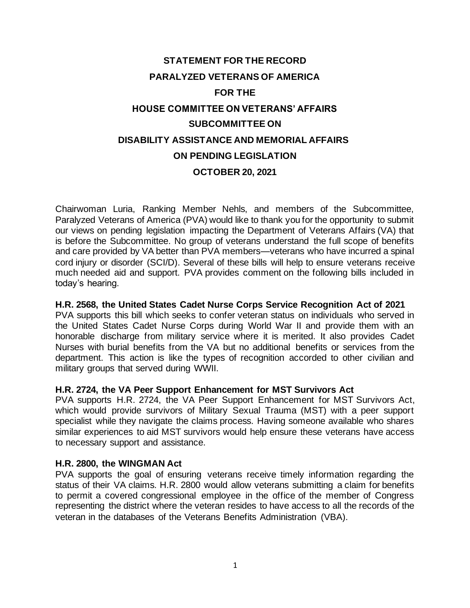# **STATEMENT FOR THE RECORD PARALYZED VETERANS OF AMERICA FOR THE HOUSE COMMITTEE ON VETERANS' AFFAIRS SUBCOMMITTEE ON DISABILITY ASSISTANCE AND MEMORIAL AFFAIRS ON PENDING LEGISLATION OCTOBER 20, 2021**

Chairwoman Luria, Ranking Member Nehls, and members of the Subcommittee, Paralyzed Veterans of America (PVA) would like to thank you for the opportunity to submit our views on pending legislation impacting the Department of Veterans Affairs (VA) that is before the Subcommittee. No group of veterans understand the full scope of benefits and care provided by VA better than PVA members—veterans who have incurred a spinal cord injury or disorder (SCI/D). Several of these bills will help to ensure veterans receive much needed aid and support. PVA provides comment on the following bills included in today's hearing.

#### **H.R. 2568, the United States Cadet Nurse Corps Service Recognition Act of 2021**

PVA supports this bill which seeks to confer veteran status on individuals who served in the United States Cadet Nurse Corps during World War II and provide them with an honorable discharge from military service where it is merited. It also provides Cadet Nurses with burial benefits from the VA but no additional benefits or services from the department. This action is like the types of recognition accorded to other civilian and military groups that served during WWII.

#### **H.R. 2724, the VA Peer Support Enhancement for MST Survivors Act**

PVA supports H.R. 2724, the VA Peer Support Enhancement for MST Survivors Act, which would provide survivors of Military Sexual Trauma (MST) with a peer support specialist while they navigate the claims process. Having someone available who shares similar experiences to aid MST survivors would help ensure these veterans have access to necessary support and assistance.

#### **H.R. 2800, the WINGMAN Act**

PVA supports the goal of ensuring veterans receive timely information regarding the status of their VA claims. H.R. 2800 would allow veterans submitting a claim for benefits to permit a covered congressional employee in the office of the member of Congress representing the district where the veteran resides to have access to all the records of the veteran in the databases of the Veterans Benefits Administration (VBA).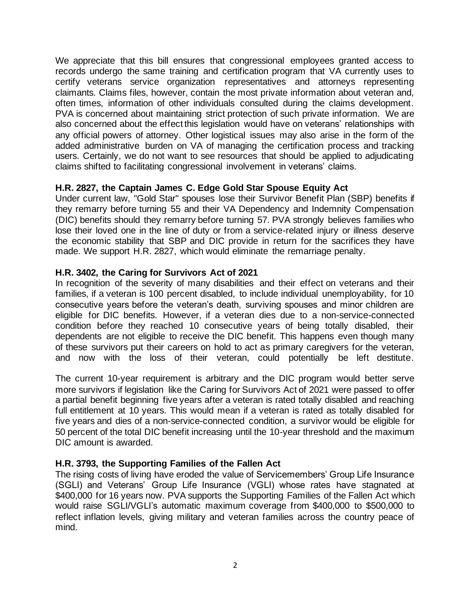We appreciate that this bill ensures that congressional employees granted access to records undergo the same training and certification program that VA currently uses to certify veterans service organization representatives and attorneys representing claimants. Claims files, however, contain the most private information about veteran and, often times, information of other individuals consulted during the claims development. PVA is concerned about maintaining strict protection of such private information. We are also concerned about the effect this legislation would have on veterans' relationships with any official powers of attorney. Other logistical issues may also arise in the form of the added administrative burden on VA of managing the certification process and tracking users. Certainly, we do not want to see resources that should be applied to adjudicating claims shifted to facilitating congressional involvement in veterans' claims.

# **H.R. 2827, the Captain James C. Edge Gold Star Spouse Equity Act**

Under current law, "Gold Star" spouses lose their Survivor Benefit Plan (SBP) benefits if they remarry before turning 55 and their VA Dependency and Indemnity Compensation (DIC) benefits should they remarry before turning 57. PVA strongly believes families who lose their loved one in the line of duty or from a service-related injury or illness deserve the economic stability that SBP and DIC provide in return for the sacrifices they have made. We support H.R. 2827, which would eliminate the remarriage penalty.

## **H.R. 3402, the Caring for Survivors Act of 2021**

In recognition of the severity of many disabilities and their effect on veterans and their families, if a veteran is 100 percent disabled, to include individual unemployability, for 10 consecutive years before the veteran's death, surviving spouses and minor children are eligible for DIC benefits. However, if a veteran dies due to a non-service-connected condition before they reached 10 consecutive years of being totally disabled, their dependents are not eligible to receive the DIC benefit. This happens even though many of these survivors put their careers on hold to act as primary caregivers for the veteran, and now with the loss of their veteran, could potentially be left destitute.

The current 10-year requirement is arbitrary and the DIC program would better serve more survivors if legislation like the Caring for Survivors Act of 2021 were passed to offer a partial benefit beginning five years after a veteran is rated totally disabled and reaching full entitlement at 10 years. This would mean if a veteran is rated as totally disabled for five years and dies of a non-service-connected condition, a survivor would be eligible for 50 percent of the total DIC benefit increasing until the 10-year threshold and the maximum DIC amount is awarded.

## **H.R. 3793, the Supporting Families of the Fallen Act**

The rising costs of living have eroded the value of Servicemembers' Group Life Insurance (SGLI) and Veterans' Group Life Insurance (VGLI) whose rates have stagnated at \$400,000 for 16 years now. PVA supports the Supporting Families of the Fallen Act which would raise SGLI/VGLI's automatic maximum coverage from \$400,000 to \$500,000 to reflect inflation levels, giving military and veteran families across the country peace of mind.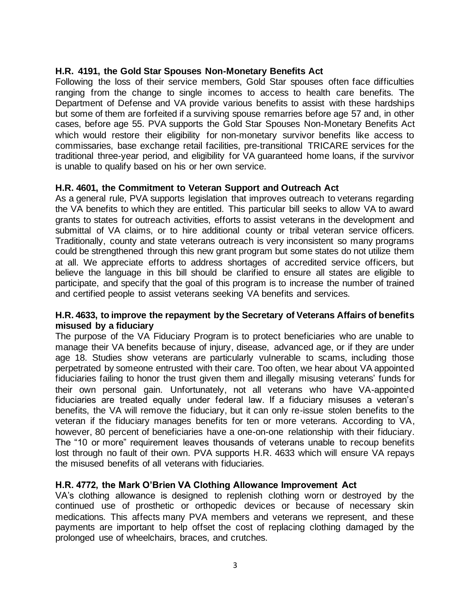## **H.R. 4191, the Gold Star Spouses Non-Monetary Benefits Act**

Following the loss of their service members, Gold Star spouses often face difficulties ranging from the change to single incomes to access to health care benefits. The Department of Defense and VA provide various benefits to assist with these hardships but some of them are forfeited if a surviving spouse remarries before age 57 and, in other cases, before age 55. PVA supports the Gold Star Spouses Non-Monetary Benefits Act which would restore their eligibility for non-monetary survivor benefits like access to commissaries, base exchange retail facilities, pre-transitional TRICARE services for the traditional three-year period, and eligibility for VA guaranteed home loans, if the survivor is unable to qualify based on his or her own service.

## **H.R. 4601, the Commitment to Veteran Support and Outreach Act**

As a general rule, PVA supports legislation that improves outreach to veterans regarding the VA benefits to which they are entitled. This particular bill seeks to allow VA to award grants to states for outreach activities, efforts to assist veterans in the development and submittal of VA claims, or to hire additional county or tribal veteran service officers. Traditionally, county and state veterans outreach is very inconsistent so many programs could be strengthened through this new grant program but some states do not utilize them at all. We appreciate efforts to address shortages of accredited service officers, but believe the language in this bill should be clarified to ensure all states are eligible to participate, and specify that the goal of this program is to increase the number of trained and certified people to assist veterans seeking VA benefits and services.

## **H.R. 4633, to improve the repayment by the Secretary of Veterans Affairs of benefits misused by a fiduciary**

The purpose of the VA Fiduciary Program is to protect beneficiaries who are unable to manage their VA benefits because of injury, disease, advanced age, or if they are under age 18. Studies show veterans are particularly vulnerable to scams, including those perpetrated by someone entrusted with their care. Too often, we hear about VA appointed fiduciaries failing to honor the trust given them and illegally misusing veterans' funds for their own personal gain. Unfortunately, not all veterans who have VA-appointed fiduciaries are treated equally under federal law. If a fiduciary misuses a veteran's benefits, the VA will remove the fiduciary, but it can only re-issue stolen benefits to the veteran if the fiduciary manages benefits for ten or more veterans. According to VA, however, 80 percent of beneficiaries have a one-on-one relationship with their fiduciary. The "10 or more" requirement leaves thousands of veterans unable to recoup benefits lost through no fault of their own. PVA supports H.R. 4633 which will ensure VA repays the misused benefits of all veterans with fiduciaries.

## **H.R. 4772, the Mark O'Brien VA Clothing Allowance Improvement Act**

VA's clothing allowance is designed to replenish clothing worn or destroyed by the continued use of prosthetic or orthopedic devices or because of necessary skin medications. This affects many PVA members and veterans we represent, and these payments are important to help offset the cost of replacing clothing damaged by the prolonged use of wheelchairs, braces, and crutches.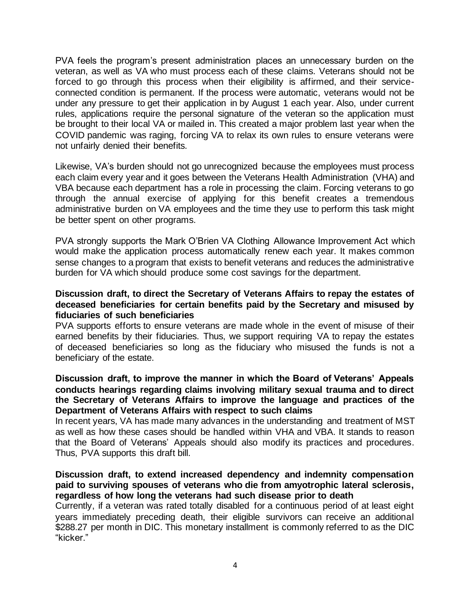PVA feels the program's present administration places an unnecessary burden on the veteran, as well as VA who must process each of these claims. Veterans should not be forced to go through this process when their eligibility is affirmed, and their serviceconnected condition is permanent. If the process were automatic, veterans would not be under any pressure to get their application in by August 1 each year. Also, under current rules, applications require the personal signature of the veteran so the application must be brought to their local VA or mailed in. This created a major problem last year when the COVID pandemic was raging, forcing VA to relax its own rules to ensure veterans were not unfairly denied their benefits.

Likewise, VA's burden should not go unrecognized because the employees must process each claim every year and it goes between the Veterans Health Administration (VHA) and VBA because each department has a role in processing the claim. Forcing veterans to go through the annual exercise of applying for this benefit creates a tremendous administrative burden on VA employees and the time they use to perform this task might be better spent on other programs.

PVA strongly supports the Mark O'Brien VA Clothing Allowance Improvement Act which would make the application process automatically renew each year. It makes common sense changes to a program that exists to benefit veterans and reduces the administrative burden for VA which should produce some cost savings for the department.

## **Discussion draft, to direct the Secretary of Veterans Affairs to repay the estates of deceased beneficiaries for certain benefits paid by the Secretary and misused by fiduciaries of such beneficiaries**

PVA supports efforts to ensure veterans are made whole in the event of misuse of their earned benefits by their fiduciaries. Thus, we support requiring VA to repay the estates of deceased beneficiaries so long as the fiduciary who misused the funds is not a beneficiary of the estate.

## **Discussion draft, to improve the manner in which the Board of Veterans' Appeals conducts hearings regarding claims involving military sexual trauma and to direct the Secretary of Veterans Affairs to improve the language and practices of the Department of Veterans Affairs with respect to such claims**

In recent years, VA has made many advances in the understanding and treatment of MST as well as how these cases should be handled within VHA and VBA. It stands to reason that the Board of Veterans' Appeals should also modify its practices and procedures. Thus, PVA supports this draft bill.

## **Discussion draft, to extend increased dependency and indemnity compensation paid to surviving spouses of veterans who die from amyotrophic lateral sclerosis, regardless of how long the veterans had such disease prior to death**

Currently, if a veteran was rated totally disabled for a continuous period of at least eight years immediately preceding death, their eligible survivors can receive an additional \$288.27 per month in DIC. This monetary installment is commonly referred to as the DIC "kicker."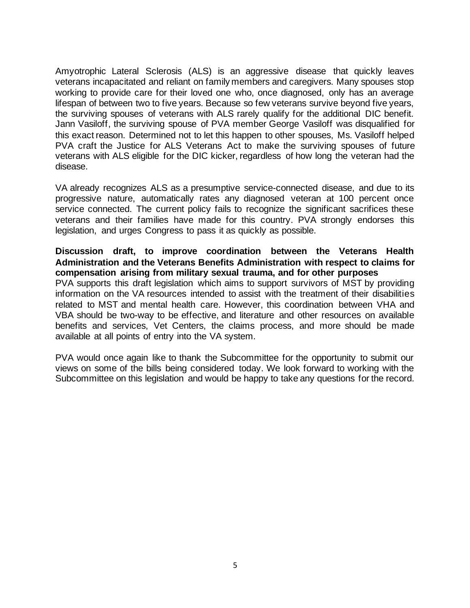Amyotrophic Lateral Sclerosis (ALS) is an aggressive disease that quickly leaves veterans incapacitated and reliant on family members and caregivers. Many spouses stop working to provide care for their loved one who, once diagnosed, only has an average lifespan of between two to five years. Because so few veterans survive beyond five years, the surviving spouses of veterans with ALS rarely qualify for the additional DIC benefit. Jann Vasiloff, the surviving spouse of PVA member George Vasiloff was disqualified for this exact reason. Determined not to let this happen to other spouses, Ms. Vasiloff helped PVA craft the Justice for ALS Veterans Act to make the surviving spouses of future veterans with ALS eligible for the DIC kicker, regardless of how long the veteran had the disease.

VA already recognizes ALS as a presumptive service-connected disease, and due to its progressive nature, automatically rates any diagnosed veteran at 100 percent once service connected. The current policy fails to recognize the significant sacrifices these veterans and their families have made for this country. PVA strongly endorses this legislation, and urges Congress to pass it as quickly as possible.

#### **Discussion draft, to improve coordination between the Veterans Health Administration and the Veterans Benefits Administration with respect to claims for compensation arising from military sexual trauma, and for other purposes**

PVA supports this draft legislation which aims to support survivors of MST by providing information on the VA resources intended to assist with the treatment of their disabilities related to MST and mental health care. However, this coordination between VHA and VBA should be two-way to be effective, and literature and other resources on available benefits and services, Vet Centers, the claims process, and more should be made available at all points of entry into the VA system.

PVA would once again like to thank the Subcommittee for the opportunity to submit our views on some of the bills being considered today. We look forward to working with the Subcommittee on this legislation and would be happy to take any questions for the record.